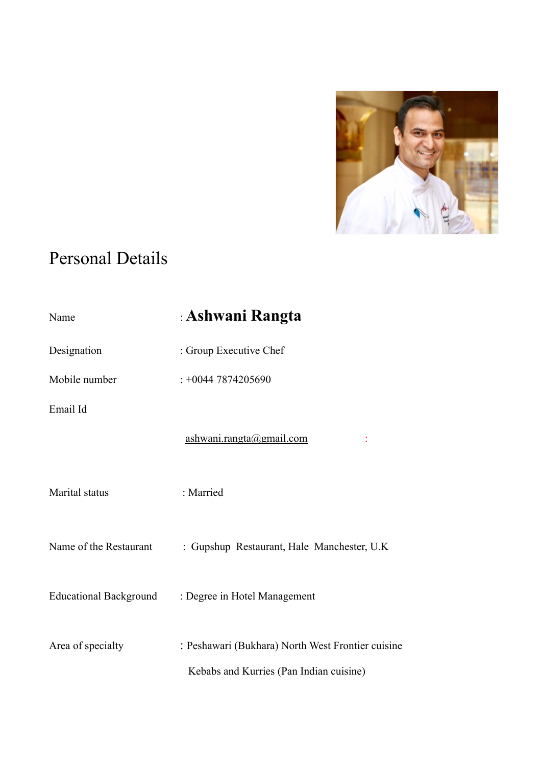

# Personal Details

| Name                          | : Ashwani Rangta                                                                             |
|-------------------------------|----------------------------------------------------------------------------------------------|
| Designation                   | : Group Executive Chef                                                                       |
| Mobile number                 | $: +00447874205690$                                                                          |
| Email Id                      |                                                                                              |
|                               | ashwani.rangta@gmail.com                                                                     |
| Marital status                | : Married                                                                                    |
| Name of the Restaurant        | : Gupshup Restaurant, Hale Manchester, U.K.                                                  |
| <b>Educational Background</b> | : Degree in Hotel Management                                                                 |
| Area of specialty             | : Peshawari (Bukhara) North West Frontier cuisine<br>Kebabs and Kurries (Pan Indian cuisine) |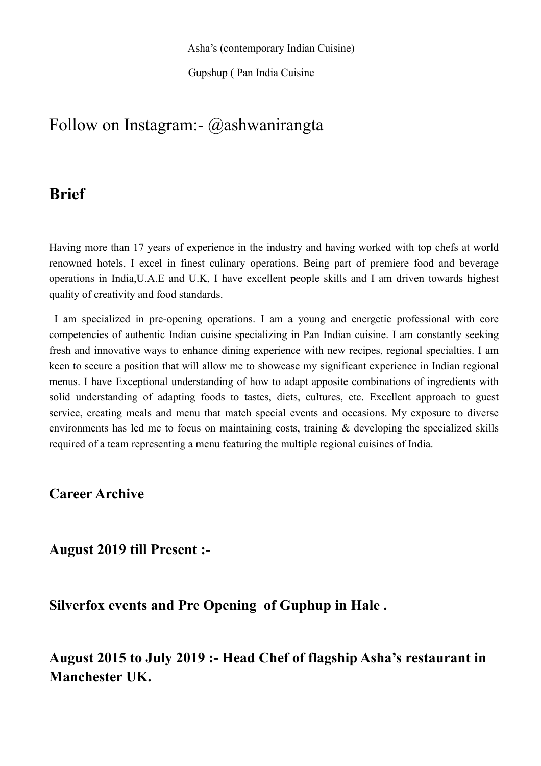Gupshup ( Pan India Cuisine

# Follow on Instagram:- @ashwanirangta

# **Brief**

Having more than 17 years of experience in the industry and having worked with top chefs at world renowned hotels, I excel in finest culinary operations. Being part of premiere food and beverage operations in India,U.A.E and U.K, I have excellent people skills and I am driven towards highest quality of creativity and food standards.

 I am specialized in pre-opening operations. I am a young and energetic professional with core competencies of authentic Indian cuisine specializing in Pan Indian cuisine. I am constantly seeking fresh and innovative ways to enhance dining experience with new recipes, regional specialties. I am keen to secure a position that will allow me to showcase my significant experience in Indian regional menus. I have Exceptional understanding of how to adapt apposite combinations of ingredients with solid understanding of adapting foods to tastes, diets, cultures, etc. Excellent approach to guest service, creating meals and menu that match special events and occasions. My exposure to diverse environments has led me to focus on maintaining costs, training & developing the specialized skills required of a team representing a menu featuring the multiple regional cuisines of India.

## **Career Archive**

**August 2019 till Present :-** 

**Silverfox events and Pre Opening of Guphup in Hale .**

**August 2015 to July 2019 :- Head Chef of flagship Asha's restaurant in Manchester UK.**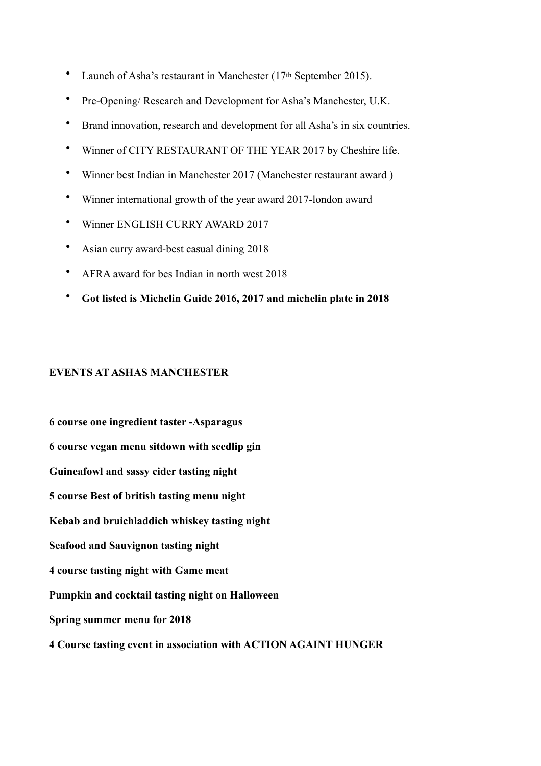- Launch of Asha's restaurant in Manchester (17<sup>th</sup> September 2015).
- Pre-Opening/ Research and Development for Asha's Manchester, U.K.
- Brand innovation, research and development for all Asha's in six countries.
- Winner of CITY RESTAURANT OF THE YEAR 2017 by Cheshire life.
- Winner best Indian in Manchester 2017 (Manchester restaurant award )
- Winner international growth of the year award 2017-london award
- Winner ENGLISH CURRY AWARD 2017
- Asian curry award-best casual dining 2018
- AFRA award for bes Indian in north west 2018
- **Got listed is Michelin Guide 2016, 2017 and michelin plate in 2018**

#### **EVENTS AT ASHAS MANCHESTER**

**6 course one ingredient taster -Asparagus 6 course vegan menu sitdown with seedlip gin Guineafowl and sassy cider tasting night 5 course Best of british tasting menu night Kebab and bruichladdich whiskey tasting night Seafood and Sauvignon tasting night 4 course tasting night with Game meat Pumpkin and cocktail tasting night on Halloween Spring summer menu for 2018 4 Course tasting event in association with ACTION AGAINT HUNGER**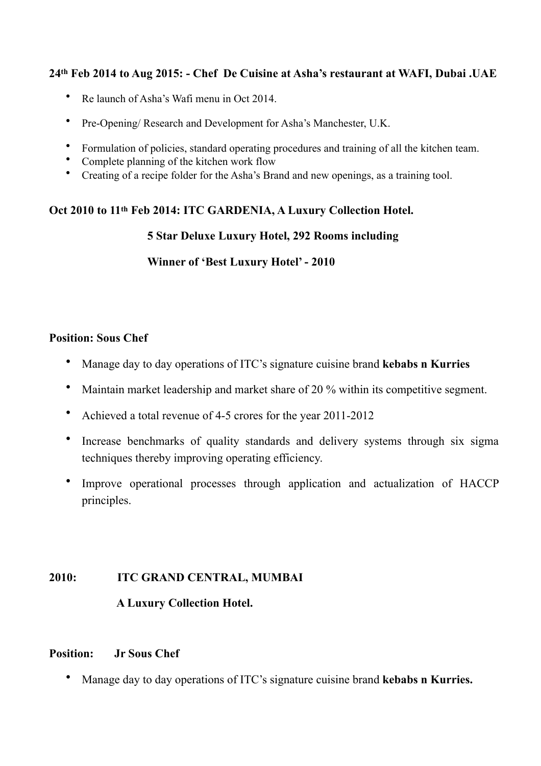## **24th Feb 2014 to Aug 2015: - Chef De Cuisine at Asha's restaurant at WAFI, Dubai .UAE**

- Re launch of Asha's Wafi menu in Oct 2014.
- Pre-Opening/ Research and Development for Asha's Manchester, U.K.
- Formulation of policies, standard operating procedures and training of all the kitchen team.
- Complete planning of the kitchen work flow
- Creating of a recipe folder for the Asha's Brand and new openings, as a training tool.

## **Oct 2010 to 11th Feb 2014: ITC GARDENIA, A Luxury Collection Hotel.**

## **5 Star Deluxe Luxury Hotel, 292 Rooms including**

## **Winner of 'Best Luxury Hotel' - 2010**

#### **Position: Sous Chef**

- Manage day to day operations of ITC's signature cuisine brand **kebabs n Kurries**
- Maintain market leadership and market share of 20 % within its competitive segment.
- Achieved a total revenue of 4-5 crores for the year 2011-2012
- Increase benchmarks of quality standards and delivery systems through six sigma techniques thereby improving operating efficiency.
- Improve operational processes through application and actualization of HACCP principles.

## **2010: ITC GRAND CENTRAL, MUMBAI**

## **A Luxury Collection Hotel.**

#### **Position: Jr Sous Chef**

• Manage day to day operations of ITC's signature cuisine brand **kebabs n Kurries.**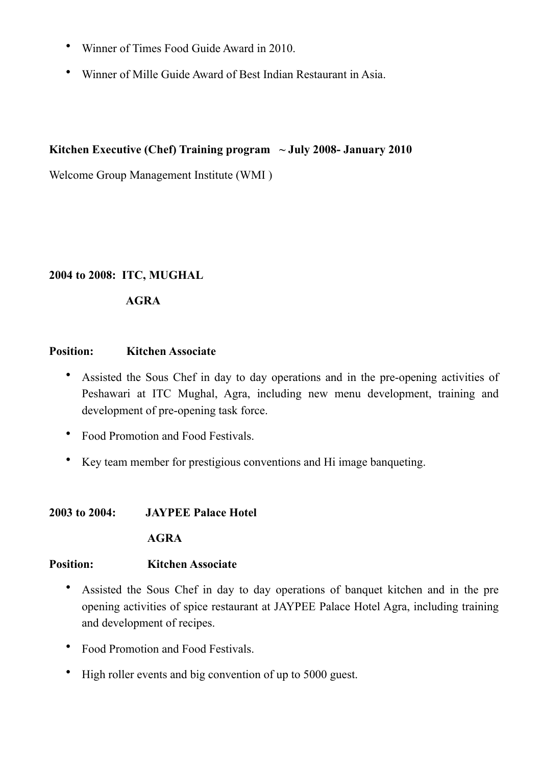- Winner of Times Food Guide Award in 2010.
- Winner of Mille Guide Award of Best Indian Restaurant in Asia.

## **Kitchen Executive (Chef) Training program ~ July 2008- January 2010**

Welcome Group Management Institute (WMI )

## **2004 to 2008: ITC, MUGHAL**

## **AGRA**

## **Position: Kitchen Associate**

- Assisted the Sous Chef in day to day operations and in the pre-opening activities of Peshawari at ITC Mughal, Agra, including new menu development, training and development of pre-opening task force.
- Food Promotion and Food Festivals.
- Key team member for prestigious conventions and Hi image banqueting.

## **2003 to 2004: JAYPEE Palace Hotel**

## **AGRA**

## **Position: Kitchen Associate**

- Assisted the Sous Chef in day to day operations of banquet kitchen and in the pre opening activities of spice restaurant at JAYPEE Palace Hotel Agra, including training and development of recipes.
- Food Promotion and Food Festivals.
- High roller events and big convention of up to 5000 guest.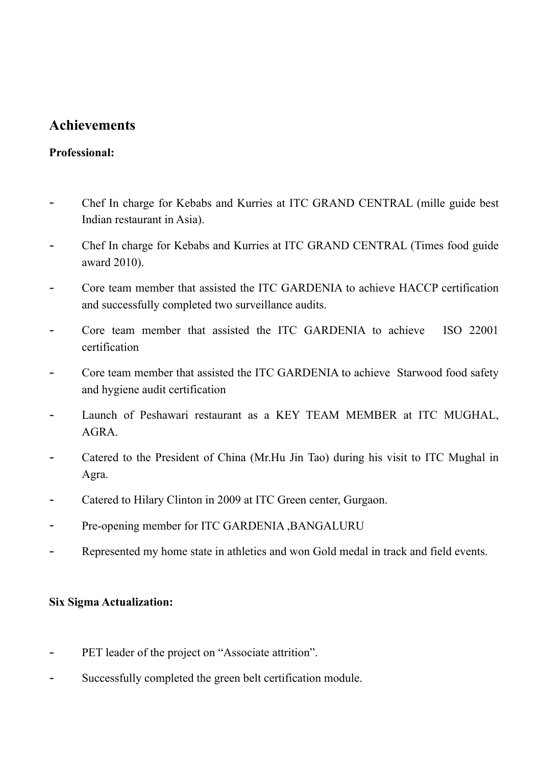# **Achievements**

## **Professional:**

- Chef In charge for Kebabs and Kurries at ITC GRAND CENTRAL (mille guide best Indian restaurant in Asia).
- Chef In charge for Kebabs and Kurries at ITC GRAND CENTRAL (Times food guide award 2010).
- Core team member that assisted the ITC GARDENIA to achieve HACCP certification and successfully completed two surveillance audits.
- Core team member that assisted the ITC GARDENIA to achieve ISO 22001 certification
- Core team member that assisted the ITC GARDENIA to achieve Starwood food safety and hygiene audit certification
- Launch of Peshawari restaurant as a KEY TEAM MEMBER at ITC MUGHAL, AGRA.
- Catered to the President of China (Mr.Hu Jin Tao) during his visit to ITC Mughal in Agra.
- Catered to Hilary Clinton in 2009 at ITC Green center, Gurgaon.
- Pre-opening member for ITC GARDENIA , BANGALURU
- Represented my home state in athletics and won Gold medal in track and field events.

## **Six Sigma Actualization:**

- PET leader of the project on "Associate attrition".
- Successfully completed the green belt certification module.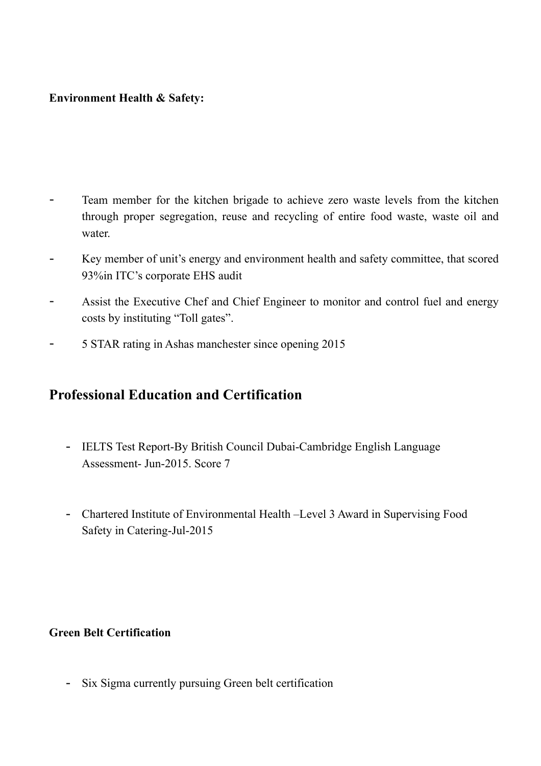## **Environment Health & Safety:**

- Team member for the kitchen brigade to achieve zero waste levels from the kitchen through proper segregation, reuse and recycling of entire food waste, waste oil and water.
- Key member of unit's energy and environment health and safety committee, that scored 93%in ITC's corporate EHS audit
- Assist the Executive Chef and Chief Engineer to monitor and control fuel and energy costs by instituting "Toll gates".
- 5 STAR rating in Ashas manchester since opening 2015

# **Professional Education and Certification**

- IELTS Test Report-By British Council Dubai-Cambridge English Language Assessment- Jun-2015. Score 7
- Chartered Institute of Environmental Health –Level 3 Award in Supervising Food Safety in Catering-Jul-2015

## **Green Belt Certification**

- Six Sigma currently pursuing Green belt certification